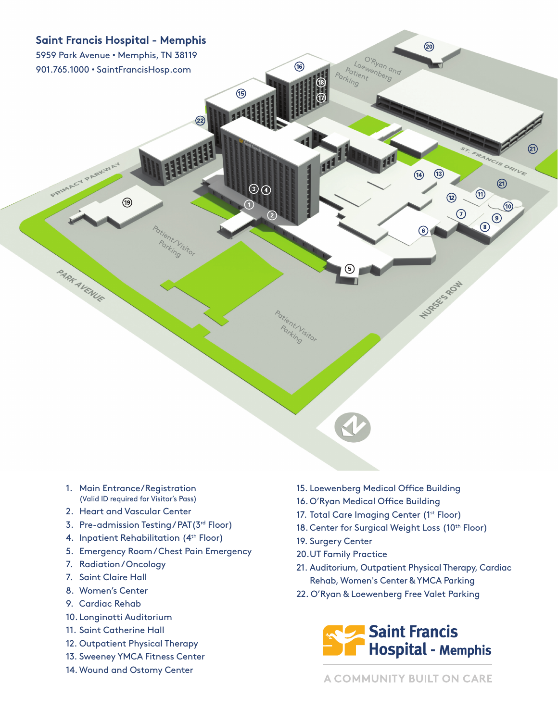

- 1. Main Entrance/Registration (Valid ID required for Visitor's Pass)
- 2. Heart and Vascular Center
- 3. Pre-admission Testing / PAT(3rd Floor)
- 4. Inpatient Rehabilitation (4<sup>th</sup> Floor)
- 5. Emergency Room / Chest Pain Emergency
- 7. Radiation / Oncology
- 7. Saint Claire Hall
- 8. Women's Center
- 9. Cardiac Rehab
- 10. Longinotti Auditorium
- 11. Saint Catherine Hall
- 12. Outpatient Physical Therapy
- 13. Sweeney YMCA Fitness Center
- 14. Wound and Ostomy Center
- 15. Loewenberg Medical Office Building
- 16. O'Ryan Medical Office Building
- 17. Total Care Imaging Center (1<sup>st</sup> Floor)
- 18. Center for Surgical Weight Loss (10<sup>th</sup> Floor)
- 19. Surgery Center
- 20. UT Family Practice
- 21. Auditorium, Outpatient Physical Therapy, Cardiac Rehab, Women's Center & YMCA Parking
- 22. O'Ryan & Loewenberg Free Valet Parking